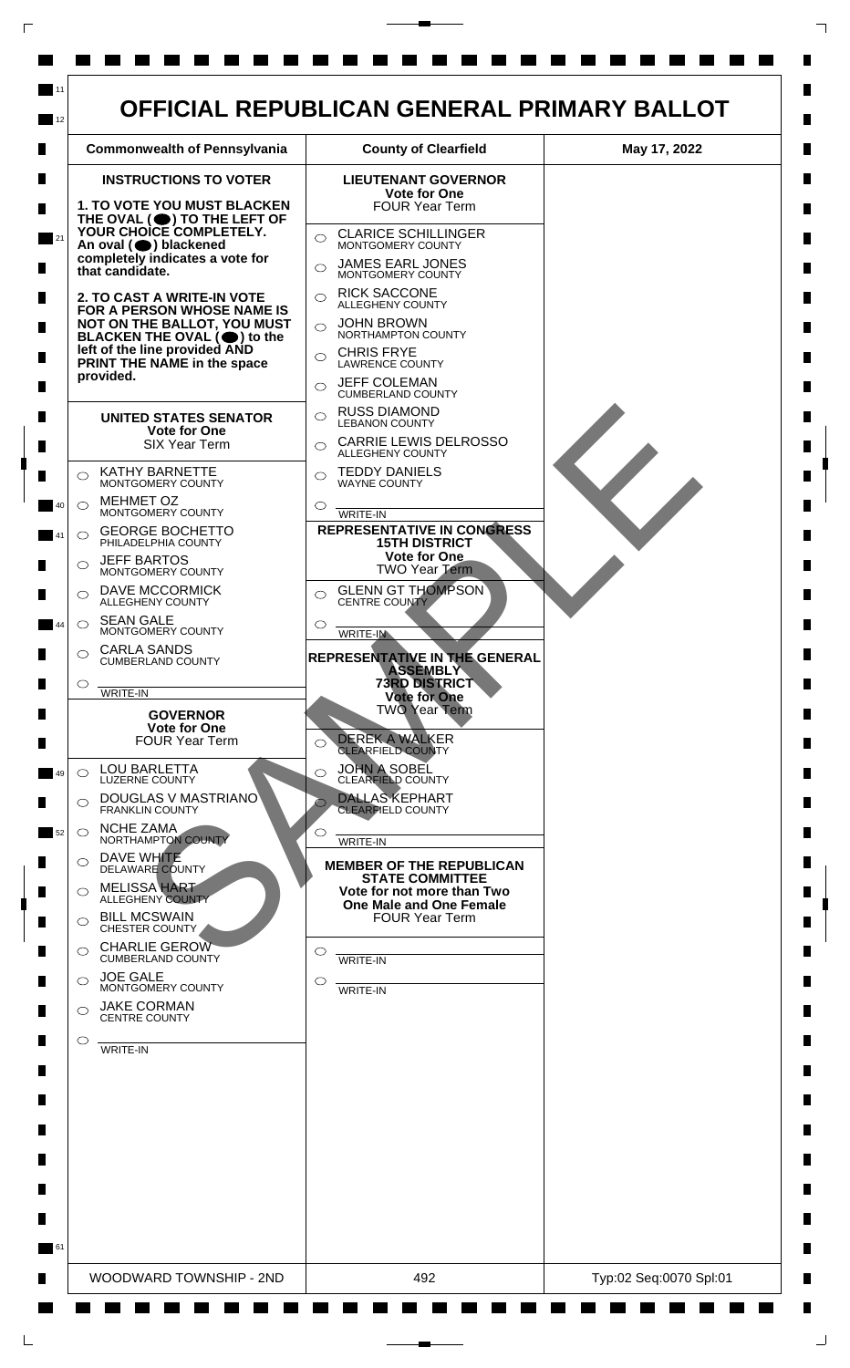

 $\Box$ 

 $\mathsf{L}$